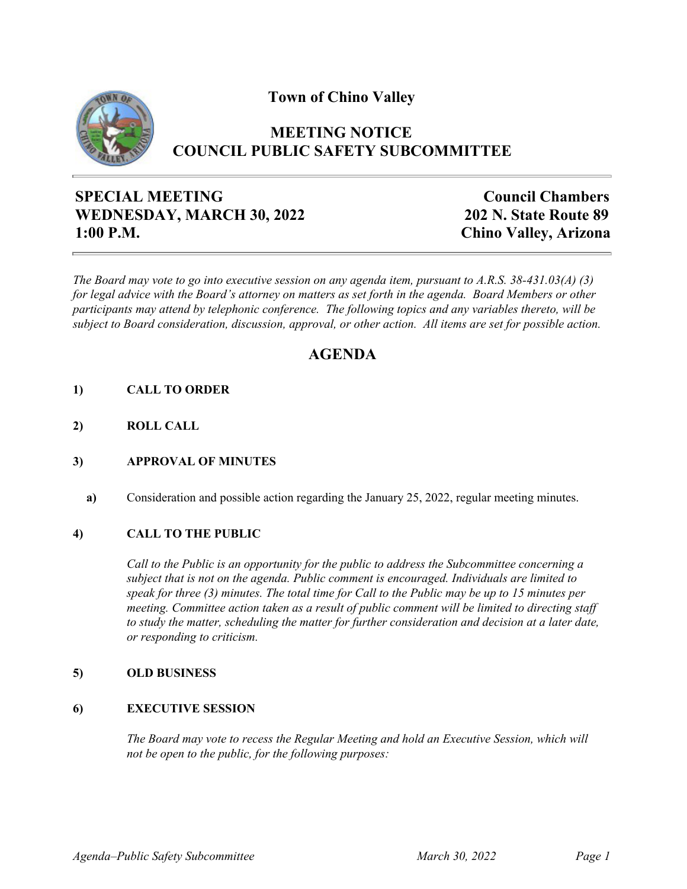**Town of Chino Valley**



## **MEETING NOTICE COUNCIL PUBLIC SAFETY SUBCOMMITTEE**

# **SPECIAL MEETING WEDNESDAY, MARCH 30, 2022 1:00 P.M.**

**Council Chambers 202 N. State Route 89 Chino Valley, Arizona**

*The Board may vote to go into executive session on any agenda item, pursuant to A.R.S. 38-431.03(A) (3) for legal advice with the Board's attorney on matters as set forth in the agenda. Board Members or other participants may attend by telephonic conference. The following topics and any variables thereto, will be subject to Board consideration, discussion, approval, or other action. All items are set for possible action.*

# **AGENDA**

- **1) CALL TO ORDER**
- **2) ROLL CALL**

### **3) APPROVAL OF MINUTES**

**a)** Consideration and possible action regarding the January 25, 2022, regular meeting minutes.

### **4) CALL TO THE PUBLIC**

*Call to the Public is an opportunity for the public to address the Subcommittee concerning a subject that is not on the agenda. Public comment is encouraged. Individuals are limited to speak for three (3) minutes. The total time for Call to the Public may be up to 15 minutes per meeting. Committee action taken as a result of public comment will be limited to directing staff to study the matter, scheduling the matter for further consideration and decision at a later date, or responding to criticism.*

#### **5) OLD BUSINESS**

#### **6) EXECUTIVE SESSION**

*The Board may vote to recess the Regular Meeting and hold an Executive Session, which will not be open to the public, for the following purposes:*